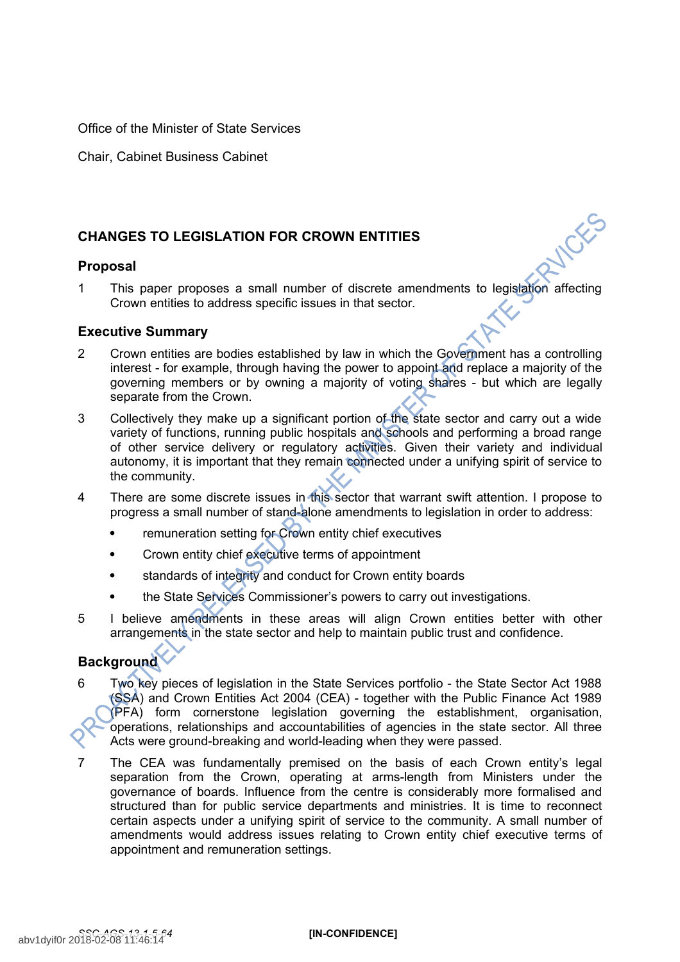Office of the Minister of State Services

Chair, Cabinet Business Cabinet

# **CHANGES TO LEGISLATION FOR CROWN ENTITIES**

## **Proposal**

1 This paper proposes a small number of discrete amendments to legislation affecting Crown entities to address specific issues in that sector.

## **Executive Summary**

- 2 Crown entities are bodies established by law in which the Government has a controlling interest - for example, through having the power to appoint and replace a majority of the governing members or by owning a majority of voting shares - but which are legally separate from the Crown.
- 3 Collectively they make up a significant portion of the state sector and carry out a wide variety of functions, running public hospitals and schools and performing a broad range of other service delivery or regulatory activities. Given their variety and individual autonomy, it is important that they remain connected under a unifying spirit of service to the community.
- 4 There are some discrete issues in this sector that warrant swift attention. I propose to progress a small number of stand-alone amendments to legislation in order to address:
	- remuneration setting for Crown entity chief executives
	- Crown entity chief executive terms of appointment
	- standards of integrity and conduct for Crown entity boards
	- the State Services Commissioner's powers to carry out investigations.
- 5 I believe amendments in these areas will align Crown entities better with other arrangements in the state sector and help to maintain public trust and confidence.

# **Background**

- 6 Two key pieces of legislation in the State Services portfolio the State Sector Act 1988 (SSA) and Crown Entities Act 2004 (CEA) - together with the Public Finance Act 1989 (PFA) form cornerstone legislation governing the establishment, organisation, operations, relationships and accountabilities of agencies in the state sector. All three Acts were ground-breaking and world-leading when they were passed.
- 7 The CEA was fundamentally premised on the basis of each Crown entity's legal separation from the Crown, operating at arms-length from Ministers under the governance of boards. Influence from the centre is considerably more formalised and structured than for public service departments and ministries. It is time to reconnect certain aspects under a unifying spirit of service to the community. A small number of amendments would address issues relating to Crown entity chief executive terms of appointment and remuneration settings.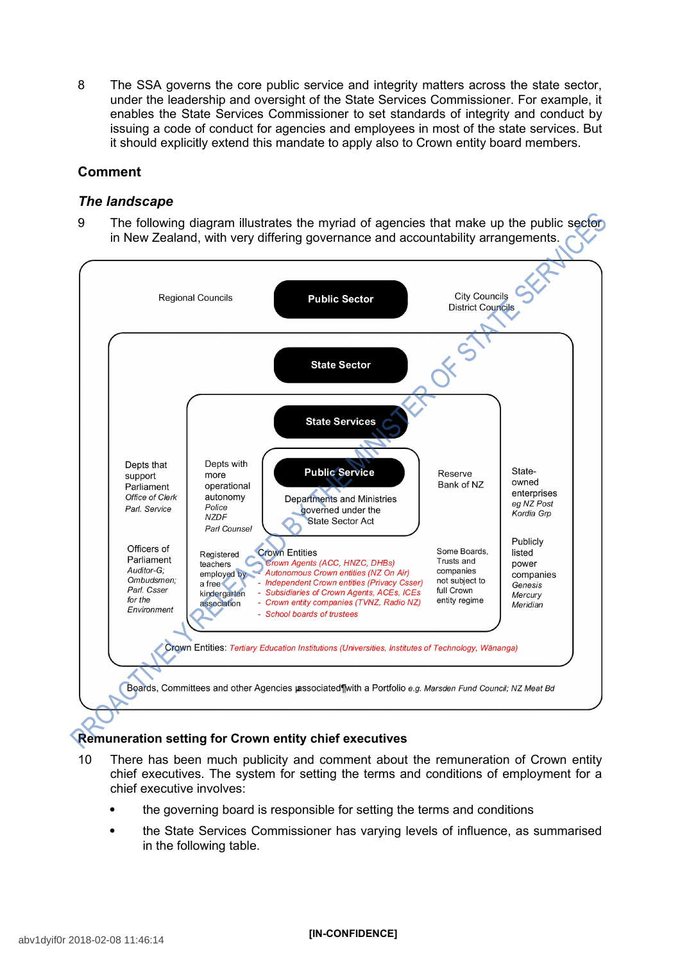8 The SSA governs the core public service and integrity matters across the state sector, under the leadership and oversight of the State Services Commissioner. For example, it enables the State Services Commissioner to set standards of integrity and conduct by issuing a code of conduct for agencies and employees in most of the state services. But it should explicitly extend this mandate to apply also to Crown entity board members.

# **Comment**

## *The landscape*

9 The following diagram illustrates the myriad of agencies that make up the public sector in New Zealand, with very differing governance and accountability arrangements.



# **Remuneration setting for Crown entity chief executives**

- 10 There has been much publicity and comment about the remuneration of Crown entity chief executives. The system for setting the terms and conditions of employment for a chief executive involves:
	- the governing board is responsible for setting the terms and conditions
	- the State Services Commissioner has varying levels of influence, as summarised in the following table.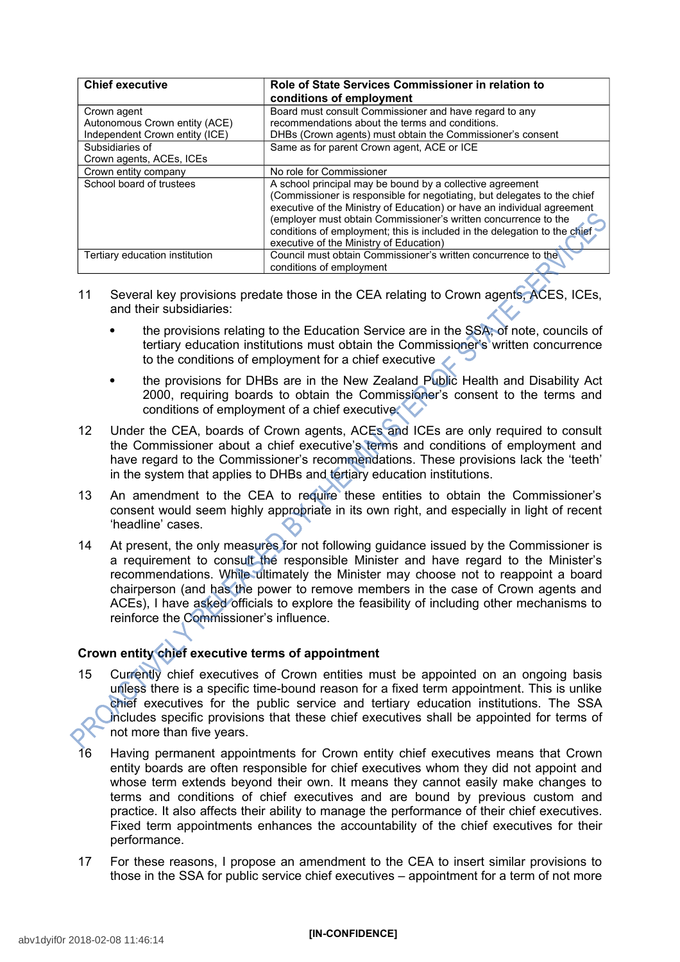| <b>Chief executive</b>         | Role of State Services Commissioner in relation to<br>conditions of employment |
|--------------------------------|--------------------------------------------------------------------------------|
| Crown agent                    | Board must consult Commissioner and have regard to any                         |
| Autonomous Crown entity (ACE)  | recommendations about the terms and conditions.                                |
| Independent Crown entity (ICE) | DHBs (Crown agents) must obtain the Commissioner's consent                     |
| Subsidiaries of                | Same as for parent Crown agent, ACE or ICE                                     |
| Crown agents, ACEs, ICEs       |                                                                                |
| Crown entity company           | No role for Commissioner                                                       |
| School board of trustees       | A school principal may be bound by a collective agreement                      |
|                                | (Commissioner is responsible for negotiating, but delegates to the chief       |
|                                | executive of the Ministry of Education) or have an individual agreement        |
|                                | (employer must obtain Commissioner's written concurrence to the                |
|                                | conditions of employment; this is included in the delegation to the chief      |
|                                | executive of the Ministry of Education)                                        |
| Tertiary education institution | Council must obtain Commissioner's written concurrence to the                  |
|                                | conditions of employment                                                       |

- 11 Several key provisions predate those in the CEA relating to Crown agents, ACES, ICEs, and their subsidiaries:
	- the provisions relating to the Education Service are in the SSA; of note, councils of tertiary education institutions must obtain the Commissioner's written concurrence to the conditions of employment for a chief executive
	- the provisions for DHBs are in the New Zealand Public Health and Disability Act 2000, requiring boards to obtain the Commissioner's consent to the terms and conditions of employment of a chief executive.
- 12 Under the CEA, boards of Crown agents, ACEs and ICEs are only required to consult the Commissioner about a chief executive's terms and conditions of employment and have regard to the Commissioner's recommendations. These provisions lack the 'teeth' in the system that applies to DHBs and tertiary education institutions.
- 13 An amendment to the CEA to require these entities to obtain the Commissioner's consent would seem highly appropriate in its own right, and especially in light of recent 'headline' cases.
- 14 At present, the only measures for not following guidance issued by the Commissioner is a requirement to consult the responsible Minister and have regard to the Minister's recommendations. While ultimately the Minister may choose not to reappoint a board chairperson (and has the power to remove members in the case of Crown agents and ACEs), I have asked officials to explore the feasibility of including other mechanisms to reinforce the Commissioner's influence.

# **Crown entity chief executive terms of appointment**

- 15 Currently chief executives of Crown entities must be appointed on an ongoing basis unless there is a specific time-bound reason for a fixed term appointment. This is unlike chief executives for the public service and tertiary education institutions. The SSA includes specific provisions that these chief executives shall be appointed for terms of not more than five years.
- 16 Having permanent appointments for Crown entity chief executives means that Crown entity boards are often responsible for chief executives whom they did not appoint and whose term extends beyond their own. It means they cannot easily make changes to terms and conditions of chief executives and are bound by previous custom and practice. It also affects their ability to manage the performance of their chief executives. Fixed term appointments enhances the accountability of the chief executives for their performance.
- 17 For these reasons, I propose an amendment to the CEA to insert similar provisions to those in the SSA for public service chief executives – appointment for a term of not more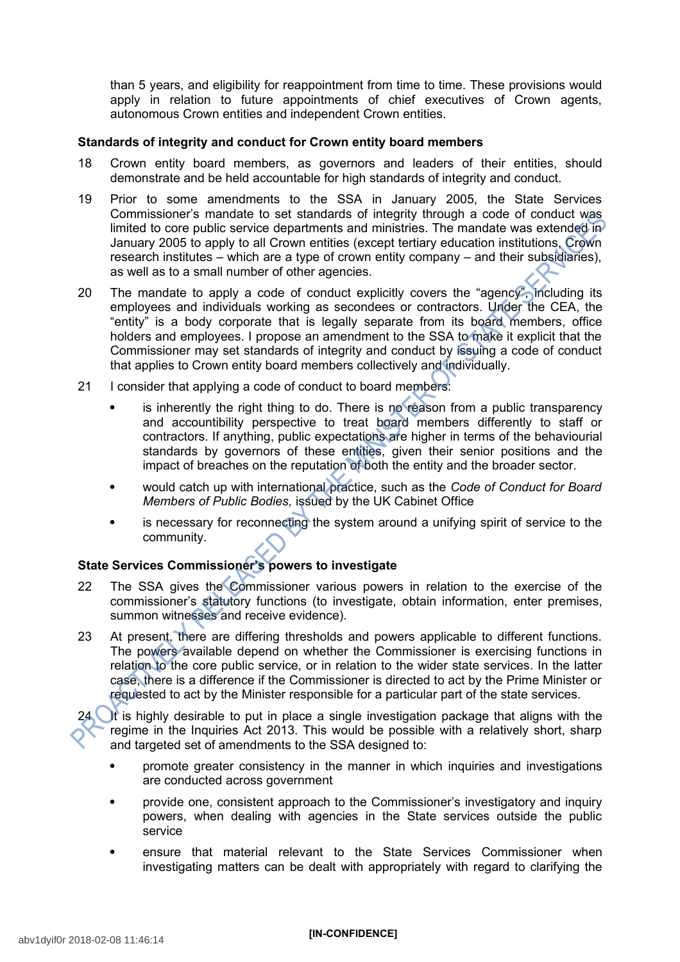than 5 years, and eligibility for reappointment from time to time. These provisions would apply in relation to future appointments of chief executives of Crown agents, autonomous Crown entities and independent Crown entities.

#### **Standards of integrity and conduct for Crown entity board members**

- 18 Crown entity board members, as governors and leaders of their entities, should demonstrate and be held accountable for high standards of integrity and conduct.
- 19 Prior to some amendments to the SSA in January 2005, the State Services Commissioner's mandate to set standards of integrity through a code of conduct was limited to core public service departments and ministries. The mandate was extended in January 2005 to apply to all Crown entities (except tertiary education institutions, Crown research institutes – which are a type of crown entity company – and their subsidiaries), as well as to a small number of other agencies.
- 20 The mandate to apply a code of conduct explicitly covers the "agency", including its employees and individuals working as secondees or contractors. Under the CEA, the "entity" is a body corporate that is legally separate from its board members, office holders and employees. I propose an amendment to the SSA to make it explicit that the Commissioner may set standards of integrity and conduct by issuing a code of conduct that applies to Crown entity board members collectively and individually.
- 21 I consider that applying a code of conduct to board members:
	- is inherently the right thing to do. There is no reason from a public transparency and accountibility perspective to treat board members differently to staff or contractors. If anything, public expectations are higher in terms of the behaviourial standards by governors of these entities, given their senior positions and the impact of breaches on the reputation of both the entity and the broader sector.
	- would catch up with international practice, such as the *Code of Conduct for Board Members of Public Bodies,* issued by the UK Cabinet Office
	- is necessary for reconnecting the system around a unifying spirit of service to the community.

## **State Services Commissioner's powers to investigate**

- 22 The SSA gives the Commissioner various powers in relation to the exercise of the commissioner's statutory functions (to investigate, obtain information, enter premises, summon witnesses and receive evidence).
- 23 At present, there are differing thresholds and powers applicable to different functions. The powers available depend on whether the Commissioner is exercising functions in relation to the core public service, or in relation to the wider state services. In the latter case, there is a difference if the Commissioner is directed to act by the Prime Minister or requested to act by the Minister responsible for a particular part of the state services.

24 It is highly desirable to put in place a single investigation package that aligns with the regime in the Inquiries Act 2013. This would be possible with a relatively short, sharp and targeted set of amendments to the SSA designed to:

- promote greater consistency in the manner in which inquiries and investigations are conducted across government
- provide one, consistent approach to the Commissioner's investigatory and inquiry powers, when dealing with agencies in the State services outside the public service
- ensure that material relevant to the State Services Commissioner when investigating matters can be dealt with appropriately with regard to clarifying the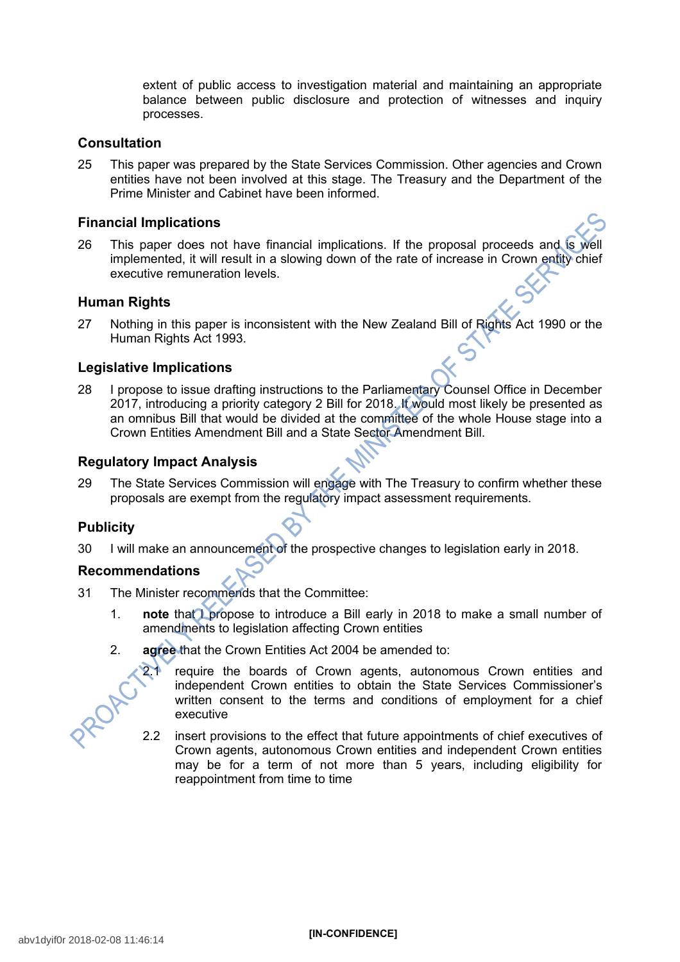extent of public access to investigation material and maintaining an appropriate balance between public disclosure and protection of witnesses and inquiry processes.

## **Consultation**

25 This paper was prepared by the State Services Commission. Other agencies and Crown entities have not been involved at this stage. The Treasury and the Department of the Prime Minister and Cabinet have been informed.

#### **Financial Implications**

26 This paper does not have financial implications. If the proposal proceeds and is well implemented, it will result in a slowing down of the rate of increase in Crown entity chief executive remuneration levels.

#### **Human Rights**

27 Nothing in this paper is inconsistent with the New Zealand Bill of Rights Act 1990 or the Human Rights Act 1993.

#### **Legislative Implications**

28 I propose to issue drafting instructions to the Parliamentary Counsel Office in December 2017, introducing a priority category 2 Bill for 2018. It would most likely be presented as an omnibus Bill that would be divided at the committee of the whole House stage into a Crown Entities Amendment Bill and a State Sector Amendment Bill.

#### **Regulatory Impact Analysis**

29 The State Services Commission will engage with The Treasury to confirm whether these proposals are exempt from the regulatory impact assessment requirements.

## **Publicity**

30 I will make an announcement of the prospective changes to legislation early in 2018.

## **Recommendations**

- 31 The Minister recommends that the Committee:
	- 1. **note** that **I** propose to introduce a Bill early in 2018 to make a small number of amendments to legislation affecting Crown entities
	- 2. **agree** that the Crown Entities Act 2004 be amended to:



- 2.1 require the boards of Crown agents, autonomous Crown entities and independent Crown entities to obtain the State Services Commissioner's written consent to the terms and conditions of employment for a chief executive
- 2.2 insert provisions to the effect that future appointments of chief executives of Crown agents, autonomous Crown entities and independent Crown entities may be for a term of not more than 5 years, including eligibility for reappointment from time to time